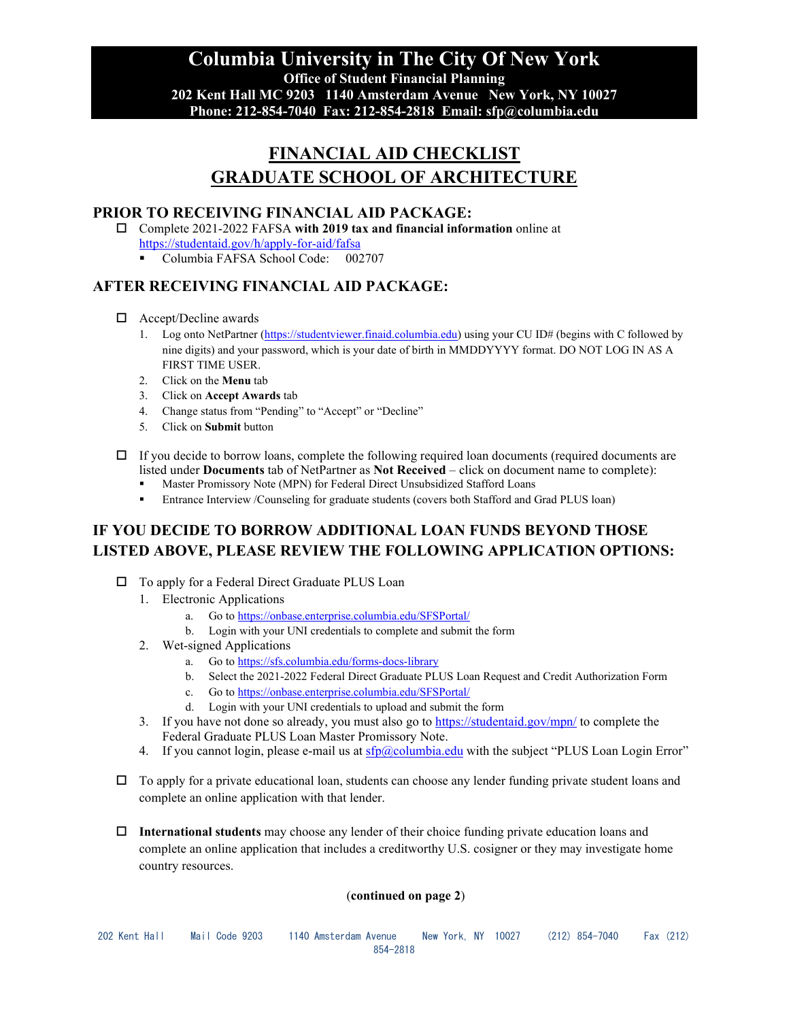**Columbia University in The City Of New York Office of Student Financial Planning 202 Kent Hall MC 9203 1140 Amsterdam Avenue New York, NY 10027 Phone: 212-854-7040 Fax: 212-854-2818 Email: sfp@columbia.edu**

# **FINANCIAL AID CHECKLIST GRADUATE SCHOOL OF ARCHITECTURE**

#### **PRIOR TO RECEIVING FINANCIAL AID PACKAGE:**

- Complete 2021-2022 FAFSA **with 2019 tax and financial information** online at <https://studentaid.gov/h/apply-for-aid/fafsa>
	- Columbia FAFSA School Code: 002707

## **AFTER RECEIVING FINANCIAL AID PACKAGE:**

- □ Accept/Decline awards
	- 1. Log onto NetPartner [\(https://studentviewer.finaid.columbia.edu\)](https://studentviewer.finaid.columbia.edu/) using your CU ID# (begins with C followed by nine digits) and your password, which is your date of birth in MMDDYYYY format. DO NOT LOG IN AS A FIRST TIME USER.
	- 2. Click on the **Menu** tab
	- 3. Click on **Accept Awards** tab
	- 4. Change status from "Pending" to "Accept" or "Decline"
	- 5. Click on **Submit** button
- $\Box$  If you decide to borrow loans, complete the following required loan documents (required documents are listed under **Documents** tab of NetPartner as **Not Received** – click on document name to complete):
	- Master Promissory Note (MPN) for Federal Direct Unsubsidized Stafford Loans
	- Entrance Interview /Counseling for graduate students (covers both Stafford and Grad PLUS loan)

# **IF YOU DECIDE TO BORROW ADDITIONAL LOAN FUNDS BEYOND THOSE LISTED ABOVE, PLEASE REVIEW THE FOLLOWING APPLICATION OPTIONS:**

- □ To apply for a Federal Direct Graduate PLUS Loan
	- 1. Electronic Applications
		- a. Go t[o https://onbase.enterprise.columbia.edu/SFSPortal/](https://onbase.enterprise.columbia.edu/SFSPortal/)
		- b. Login with your UNI credentials to complete and submit the form
	- 2. Wet-signed Applications
		- a. Go t[o https://sfs.columbia.edu/forms-docs-library](https://sfs.columbia.edu/forms-docs-library)
		- b. Select the 2021-2022 Federal Direct Graduate PLUS Loan Request and Credit Authorization Form
		- c. Go t[o https://onbase.enterprise.columbia.edu/SFSPortal/](https://onbase.enterprise.columbia.edu/SFSPortal/)
		- d. Login with your UNI credentials to upload and submit the form
	- 3. If you have not done so already, you must also go to<https://studentaid.gov/mpn/> to complete the Federal Graduate PLUS Loan Master Promissory Note.
	- 4. If you cannot login, please e-mail us at  $\frac{\text{sfp}(Q \text{column} \text{b} \text{a} \text{b} \text{d} \text{c} \text{b}}{\text{d} \text{c} \text{b}}$  with the subject "PLUS Loan Login Error"
- $\Box$  To apply for a private educational loan, students can choose any lender funding private student loans and complete an online application with that lender.
- **International students** may choose any lender of their choice funding private education loans and complete an online application that includes a creditworthy U.S. cosigner or they may investigate home country resources.

#### (**continued on page 2**)